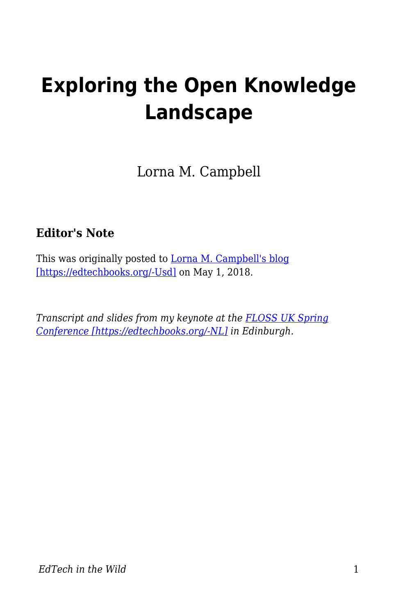# **Exploring the Open Knowledge Landscape**

Lorna M. Campbell

#### **Editor's Note**

This was originally posted to [Lorna M. Campbell's blog](http://lornamcampbell.org/higher-education/exploring-the-open-knowledge-landscape/) [\[https://edtechbooks.org/-Usd\]](http://lornamcampbell.org/higher-education/exploring-the-open-knowledge-landscape/) on May 1, 2018.

*Transcript and slides from my keynote at the [FLOSS UK Spring](https://www.flossuk.org/membership/spring-conference-2018/spring-2018-talks/) [Conference \[https://edtechbooks.org/-NL\]](https://www.flossuk.org/membership/spring-conference-2018/spring-2018-talks/) in Edinburgh.*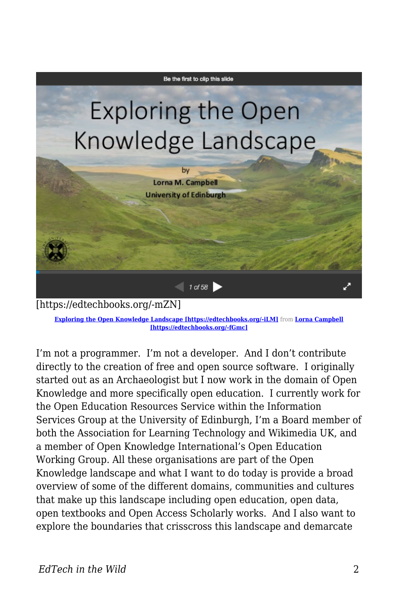

**[Exploring the Open Knowledge Landscape \[https://edtechbooks.org/-iLM\]](https://edtechbooks.org/wild///www.slideshare.net/LornaMCampbell/exploring-the-open-knowledge-landscape)** from **[Lorna Campbell](https://www.slideshare.net/LornaMCampbell) [\[https://edtechbooks.org/-fGmc\]](https://www.slideshare.net/LornaMCampbell)**

I'm not a programmer. I'm not a developer. And I don't contribute directly to the creation of free and open source software. I originally started out as an Archaeologist but I now work in the domain of Open Knowledge and more specifically open education. I currently work for the Open Education Resources Service within the Information Services Group at the University of Edinburgh, I'm a Board member of both the Association for Learning Technology and Wikimedia UK, and a member of Open Knowledge International's Open Education Working Group. All these organisations are part of the Open Knowledge landscape and what I want to do today is provide a broad overview of some of the different domains, communities and cultures that make up this landscape including open education, open data, open textbooks and Open Access Scholarly works. And I also want to explore the boundaries that crisscross this landscape and demarcate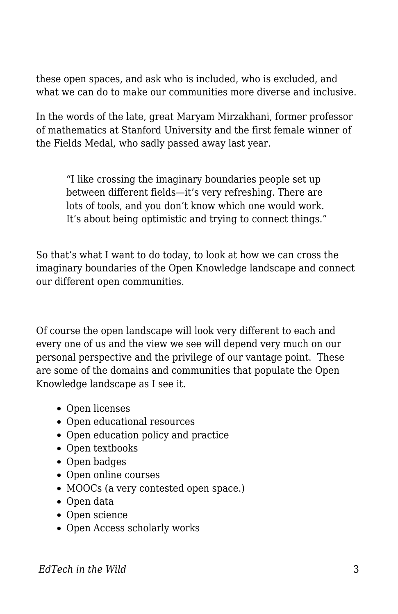these open spaces, and ask who is included, who is excluded, and what we can do to make our communities more diverse and inclusive.

In the words of the late, great Maryam Mirzakhani, former professor of mathematics at Stanford University and the first female winner of the Fields Medal, who sadly passed away last year.

"I like crossing the imaginary boundaries people set up between different fields—it's very refreshing. There are lots of tools, and you don't know which one would work. It's about being optimistic and trying to connect things."

So that's what I want to do today, to look at how we can cross the imaginary boundaries of the Open Knowledge landscape and connect our different open communities.

Of course the open landscape will look very different to each and every one of us and the view we see will depend very much on our personal perspective and the privilege of our vantage point. These are some of the domains and communities that populate the Open Knowledge landscape as I see it.

- Open licenses
- Open educational resources
- Open education policy and practice
- Open textbooks
- Open badges
- Open online courses
- MOOCs (a very contested open space.)
- Open data
- Open science
- Open Access scholarly works

*EdTech in the Wild* 3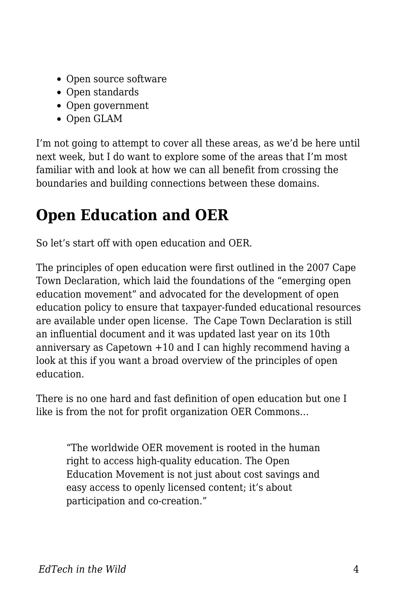- Open source software
- Open standards
- Open government
- Open GLAM

I'm not going to attempt to cover all these areas, as we'd be here until next week, but I do want to explore some of the areas that I'm most familiar with and look at how we can all benefit from crossing the boundaries and building connections between these domains.

# **Open Education and OER**

So let's start off with open education and OER.

The principles of open education were first outlined in the 2007 Cape Town Declaration, which laid the foundations of the "emerging open education movement" and advocated for the development of open education policy to ensure that taxpayer-funded educational resources are available under open license. The Cape Town Declaration is still an influential document and it was updated last year on its 10th anniversary as Capetown +10 and I can highly recommend having a look at this if you want a broad overview of the principles of open education.

There is no one hard and fast definition of open education but one I like is from the not for profit organization OER Commons…

"The worldwide OER movement is rooted in the human right to access high-quality education. The Open Education Movement is not just about cost savings and easy access to openly licensed content; it's about participation and co-creation."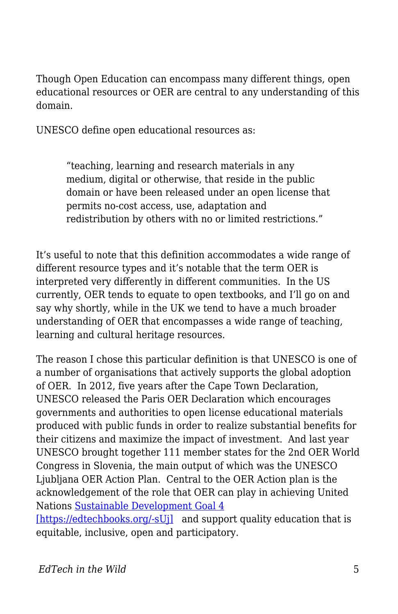Though Open Education can encompass many different things, open educational resources or OER are central to any understanding of this domain.

UNESCO define open educational resources as:

"teaching, learning and research materials in any medium, digital or otherwise, that reside in the public domain or have been released under an open license that permits no-cost access, use, adaptation and redistribution by others with no or limited restrictions."

It's useful to note that this definition accommodates a wide range of different resource types and it's notable that the term OER is interpreted very differently in different communities. In the US currently, OER tends to equate to open textbooks, and I'll go on and say why shortly, while in the UK we tend to have a much broader understanding of OER that encompasses a wide range of teaching, learning and cultural heritage resources.

The reason I chose this particular definition is that UNESCO is one of a number of organisations that actively supports the global adoption of OER. In 2012, five years after the Cape Town Declaration, UNESCO released the Paris OER Declaration which encourages governments and authorities to open license educational materials produced with public funds in order to realize substantial benefits for their citizens and maximize the impact of investment. And last year UNESCO brought together 111 member states for the 2nd OER World Congress in Slovenia, the main output of which was the UNESCO Ljubljana OER Action Plan. Central to the OER Action plan is the acknowledgement of the role that OER can play in achieving United Nations [Sustainable Development Goal 4](https://sustainabledevelopment.un.org/sdg4)

[\[https://edtechbooks.org/-sUj\]](https://sustainabledevelopment.un.org/sdg4) and support quality education that is equitable, inclusive, open and participatory.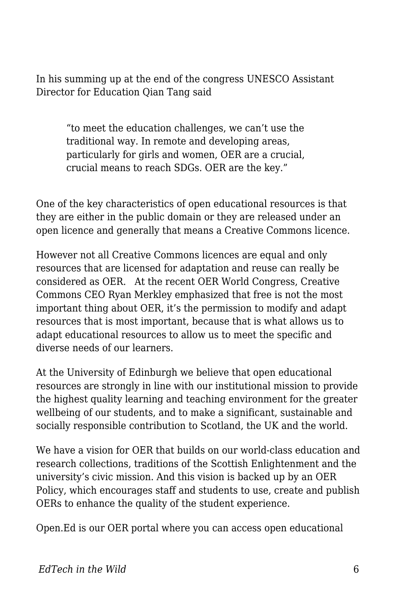In his summing up at the end of the congress UNESCO Assistant Director for Education Qian Tang said

> "to meet the education challenges, we can't use the traditional way. In remote and developing areas, particularly for girls and women, OER are a crucial, crucial means to reach SDGs. OER are the key."

One of the key characteristics of open educational resources is that they are either in the public domain or they are released under an open licence and generally that means a Creative Commons licence.

However not all Creative Commons licences are equal and only resources that are licensed for adaptation and reuse can really be considered as OER. At the recent OER World Congress, Creative Commons CEO Ryan Merkley emphasized that free is not the most important thing about OER, it's the permission to modify and adapt resources that is most important, because that is what allows us to adapt educational resources to allow us to meet the specific and diverse needs of our learners.

At the University of Edinburgh we believe that open educational resources are strongly in line with our institutional mission to provide the highest quality learning and teaching environment for the greater wellbeing of our students, and to make a significant, sustainable and socially responsible contribution to Scotland, the UK and the world.

We have a vision for OER that builds on our world-class education and research collections, traditions of the Scottish Enlightenment and the university's civic mission. And this vision is backed up by an OER Policy, which encourages staff and students to use, create and publish OERs to enhance the quality of the student experience.

Open.Ed is our OER portal where you can access open educational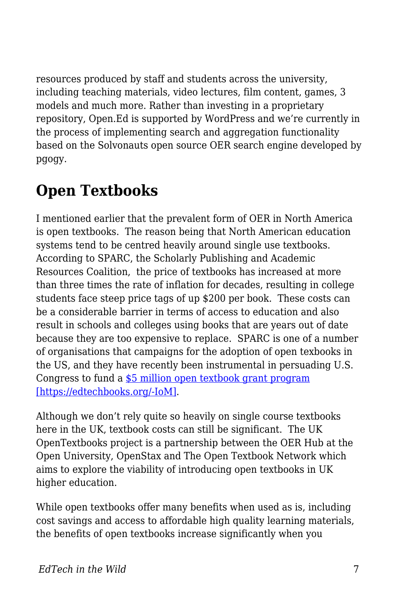resources produced by staff and students across the university, including teaching materials, video lectures, film content, games, 3 models and much more. Rather than investing in a proprietary repository, Open.Ed is supported by WordPress and we're currently in the process of implementing search and aggregation functionality based on the Solvonauts open source OER search engine developed by pgogy.

#### **Open Textbooks**

I mentioned earlier that the prevalent form of OER in North America is open textbooks. The reason being that North American education systems tend to be centred heavily around single use textbooks. According to SPARC, the Scholarly Publishing and Academic Resources Coalition, the price of textbooks has increased at more than three times the rate of inflation for decades, resulting in college students face steep price tags of up \$200 per book. These costs can be a considerable barrier in terms of access to education and also result in schools and colleges using books that are years out of date because they are too expensive to replace. SPARC is one of a number of organisations that campaigns for the adoption of open texbooks in the US, and they have recently been instrumental in persuading U.S. Congress to fund a [\\$5 million open textbook grant program](https://sparcopen.org/our-work/open-textbooks-fy18/) [\[https://edtechbooks.org/-IoM\].](https://sparcopen.org/our-work/open-textbooks-fy18/)

Although we don't rely quite so heavily on single course textbooks here in the UK, textbook costs can still be significant. The UK OpenTextbooks project is a partnership between the OER Hub at the Open University, OpenStax and The Open Textbook Network which aims to explore the viability of introducing open textbooks in UK higher education.

While open textbooks offer many benefits when used as is, including cost savings and access to affordable high quality learning materials, the benefits of open textbooks increase significantly when you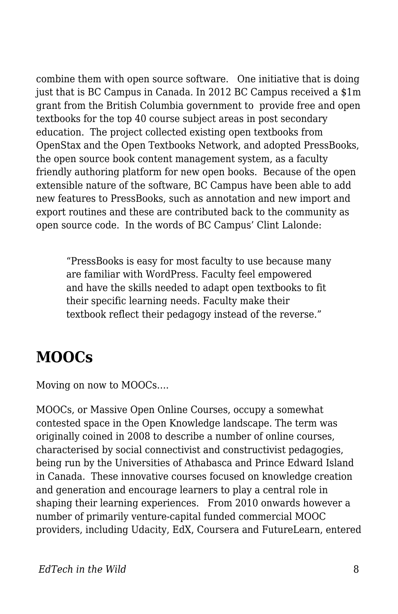combine them with open source software. One initiative that is doing just that is BC Campus in Canada. In 2012 BC Campus received a \$1m grant from the British Columbia government to provide free and open textbooks for the top 40 course subject areas in post secondary education. The project collected existing open textbooks from OpenStax and the Open Textbooks Network, and adopted PressBooks, the open source book content management system, as a faculty friendly authoring platform for new open books. Because of the open extensible nature of the software, BC Campus have been able to add new features to PressBooks, such as annotation and new import and export routines and these are contributed back to the community as open source code. In the words of BC Campus' Clint Lalonde:

"PressBooks is easy for most faculty to use because many are familiar with WordPress. Faculty feel empowered and have the skills needed to adapt open textbooks to fit their specific learning needs. Faculty make their textbook reflect their pedagogy instead of the reverse."

#### **MOOCs**

Moving on now to MOOCs….

MOOCs, or Massive Open Online Courses, occupy a somewhat contested space in the Open Knowledge landscape. The term was originally coined in 2008 to describe a number of online courses, characterised by social connectivist and constructivist pedagogies, being run by the Universities of Athabasca and Prince Edward Island in Canada. These innovative courses focused on knowledge creation and generation and encourage learners to play a central role in shaping their learning experiences. From 2010 onwards however a number of primarily venture-capital funded commercial MOOC providers, including Udacity, EdX, Coursera and FutureLearn, entered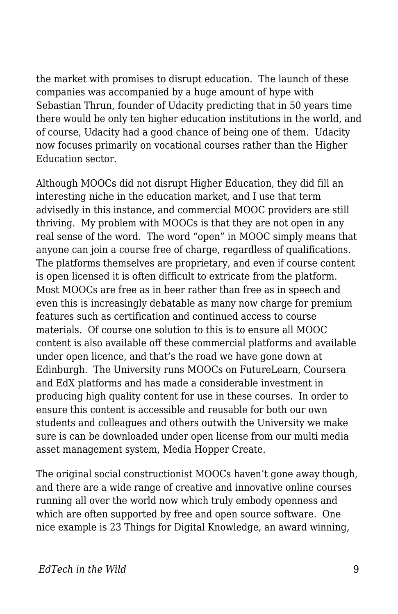the market with promises to disrupt education. The launch of these companies was accompanied by a huge amount of hype with Sebastian Thrun, founder of Udacity predicting that in 50 years time there would be only ten higher education institutions in the world, and of course, Udacity had a good chance of being one of them. Udacity now focuses primarily on vocational courses rather than the Higher Education sector.

Although MOOCs did not disrupt Higher Education, they did fill an interesting niche in the education market, and I use that term advisedly in this instance, and commercial MOOC providers are still thriving. My problem with MOOCs is that they are not open in any real sense of the word. The word "open" in MOOC simply means that anyone can join a course free of charge, regardless of qualifications. The platforms themselves are proprietary, and even if course content is open licensed it is often difficult to extricate from the platform. Most MOOCs are free as in beer rather than free as in speech and even this is increasingly debatable as many now charge for premium features such as certification and continued access to course materials. Of course one solution to this is to ensure all MOOC content is also available off these commercial platforms and available under open licence, and that's the road we have gone down at Edinburgh. The University runs MOOCs on FutureLearn, Coursera and EdX platforms and has made a considerable investment in producing high quality content for use in these courses. In order to ensure this content is accessible and reusable for both our own students and colleagues and others outwith the University we make sure is can be downloaded under open license from our multi media asset management system, Media Hopper Create.

The original social constructionist MOOCs haven't gone away though, and there are a wide range of creative and innovative online courses running all over the world now which truly embody openness and which are often supported by free and open source software. One nice example is 23 Things for Digital Knowledge, an award winning,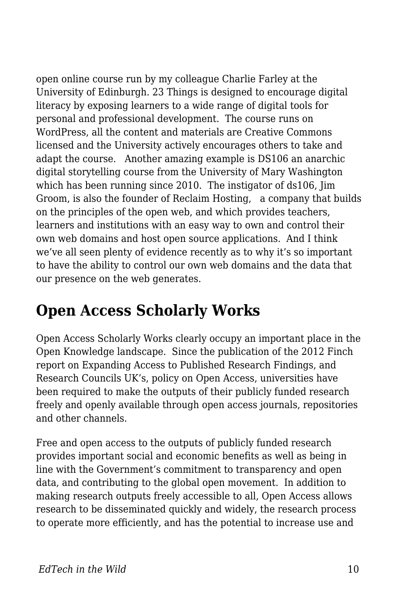open online course run by my colleague Charlie Farley at the University of Edinburgh. 23 Things is designed to encourage digital literacy by exposing learners to a wide range of digital tools for personal and professional development. The course runs on WordPress, all the content and materials are Creative Commons licensed and the University actively encourages others to take and adapt the course. Another amazing example is DS106 an anarchic digital storytelling course from the University of Mary Washington which has been running since 2010. The instigator of ds106, Jim Groom, is also the founder of Reclaim Hosting, a company that builds on the principles of the open web, and which provides teachers, learners and institutions with an easy way to own and control their own web domains and host open source applications. And I think we've all seen plenty of evidence recently as to why it's so important to have the ability to control our own web domains and the data that our presence on the web generates.

### **Open Access Scholarly Works**

Open Access Scholarly Works clearly occupy an important place in the Open Knowledge landscape. Since the publication of the 2012 Finch report on Expanding Access to Published Research Findings, and Research Councils UK's, policy on Open Access, universities have been required to make the outputs of their publicly funded research freely and openly available through open access journals, repositories and other channels.

Free and open access to the outputs of publicly funded research provides important social and economic benefits as well as being in line with the Government's commitment to transparency and open data, and contributing to the global open movement. In addition to making research outputs freely accessible to all, Open Access allows research to be disseminated quickly and widely, the research process to operate more efficiently, and has the potential to increase use and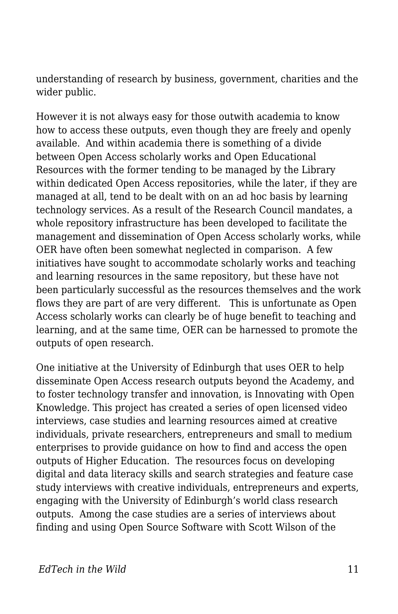understanding of research by business, government, charities and the wider public.

However it is not always easy for those outwith academia to know how to access these outputs, even though they are freely and openly available. And within academia there is something of a divide between Open Access scholarly works and Open Educational Resources with the former tending to be managed by the Library within dedicated Open Access repositories, while the later, if they are managed at all, tend to be dealt with on an ad hoc basis by learning technology services. As a result of the Research Council mandates, a whole repository infrastructure has been developed to facilitate the management and dissemination of Open Access scholarly works, while OER have often been somewhat neglected in comparison. A few initiatives have sought to accommodate scholarly works and teaching and learning resources in the same repository, but these have not been particularly successful as the resources themselves and the work flows they are part of are very different. This is unfortunate as Open Access scholarly works can clearly be of huge benefit to teaching and learning, and at the same time, OER can be harnessed to promote the outputs of open research.

One initiative at the University of Edinburgh that uses OER to help disseminate Open Access research outputs beyond the Academy, and to foster technology transfer and innovation, is Innovating with Open Knowledge. This project has created a series of open licensed video interviews, case studies and learning resources aimed at creative individuals, private researchers, entrepreneurs and small to medium enterprises to provide guidance on how to find and access the open outputs of Higher Education. The resources focus on developing digital and data literacy skills and search strategies and feature case study interviews with creative individuals, entrepreneurs and experts, engaging with the University of Edinburgh's world class research outputs. Among the case studies are a series of interviews about finding and using Open Source Software with Scott Wilson of the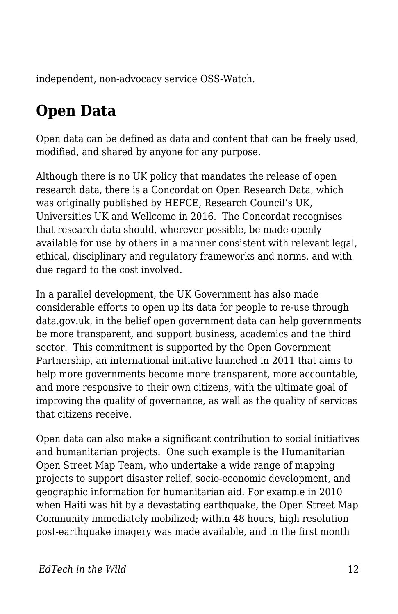independent, non-advocacy service OSS-Watch.

# **Open Data**

Open data can be defined as data and content that can be freely used, modified, and shared by anyone for any purpose.

Although there is no UK policy that mandates the release of open research data, there is a Concordat on Open Research Data, which was originally published by HEFCE, Research Council's UK, Universities UK and Wellcome in 2016. The Concordat recognises that research data should, wherever possible, be made openly available for use by others in a manner consistent with relevant legal, ethical, disciplinary and regulatory frameworks and norms, and with due regard to the cost involved.

In a parallel development, the UK Government has also made considerable efforts to open up its data for people to re-use through data.gov.uk, in the belief open government data can help governments be more transparent, and support business, academics and the third sector. This commitment is supported by the Open Government Partnership, an international initiative launched in 2011 that aims to help more governments become more transparent, more accountable, and more responsive to their own citizens, with the ultimate goal of improving the quality of governance, as well as the quality of services that citizens receive.

Open data can also make a significant contribution to social initiatives and humanitarian projects. One such example is the Humanitarian Open Street Map Team, who undertake a wide range of mapping projects to support disaster relief, socio-economic development, and geographic information for humanitarian aid. For example in 2010 when Haiti was hit by a devastating earthquake, the Open Street Map Community immediately mobilized; within 48 hours, high resolution post-earthquake imagery was made available, and in the first month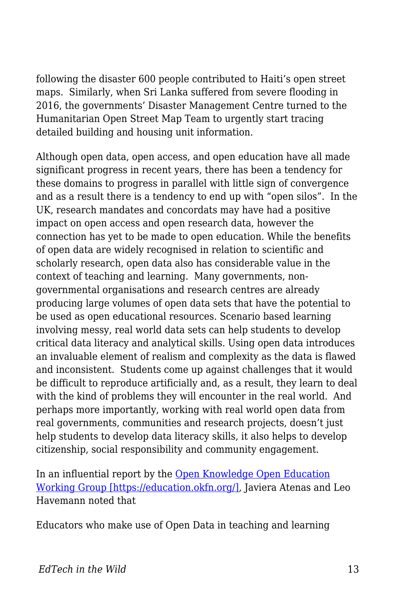following the disaster 600 people contributed to Haiti's open street maps. Similarly, when Sri Lanka suffered from severe flooding in 2016, the governments' Disaster Management Centre turned to the Humanitarian Open Street Map Team to urgently start tracing detailed building and housing unit information.

Although open data, open access, and open education have all made significant progress in recent years, there has been a tendency for these domains to progress in parallel with little sign of convergence and as a result there is a tendency to end up with "open silos". In the UK, research mandates and concordats may have had a positive impact on open access and open research data, however the connection has yet to be made to open education. While the benefits of open data are widely recognised in relation to scientific and scholarly research, open data also has considerable value in the context of teaching and learning. Many governments, nongovernmental organisations and research centres are already producing large volumes of open data sets that have the potential to be used as open educational resources. Scenario based learning involving messy, real world data sets can help students to develop critical data literacy and analytical skills. Using open data introduces an invaluable element of realism and complexity as the data is flawed and inconsistent. Students come up against challenges that it would be difficult to reproduce artificially and, as a result, they learn to deal with the kind of problems they will encounter in the real world. And perhaps more importantly, working with real world open data from real governments, communities and research projects, doesn't just help students to develop data literacy skills, it also helps to develop citizenship, social responsibility and community engagement.

In an influential report by the [Open Knowledge Open Education](https://education.okfn.org/) [Working Group \[https://education.okfn.org/\],](https://education.okfn.org/) Javiera Atenas and Leo Havemann noted that

Educators who make use of Open Data in teaching and learning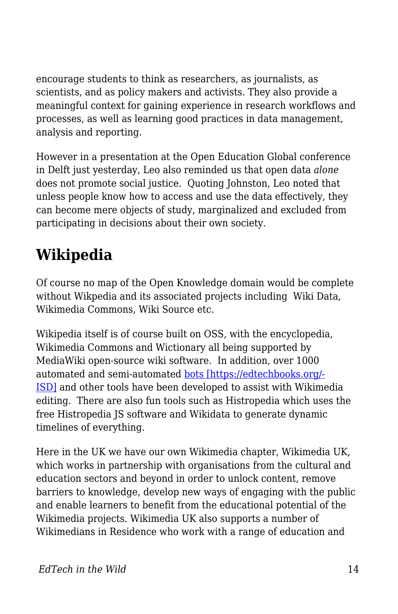encourage students to think as researchers, as journalists, as scientists, and as policy makers and activists. They also provide a meaningful context for gaining experience in research workflows and processes, as well as learning good practices in data management, analysis and reporting.

However in a presentation at the Open Education Global conference in Delft just yesterday, Leo also reminded us that open data *alone* does not promote social justice. Quoting Johnston, Leo noted that unless people know how to access and use the data effectively, they can become mere objects of study, marginalized and excluded from participating in decisions about their own society.

# **Wikipedia**

Of course no map of the Open Knowledge domain would be complete without Wikpedia and its associated projects including Wiki Data, Wikimedia Commons, Wiki Source etc.

Wikipedia itself is of course built on OSS, with the encyclopedia, Wikimedia Commons and Wictionary all being supported by MediaWiki open-source wiki software. In addition, over 1000 automated and semi-automated [bots \[https://edtechbooks.org/-](https://en.wikipedia.org/wiki/Internet_bot) [ISD\]](https://en.wikipedia.org/wiki/Internet_bot) and other tools have been developed to assist with Wikimedia editing. There are also fun tools such as Histropedia which uses the free Histropedia JS software and Wikidata to generate dynamic timelines of everything.

Here in the UK we have our own Wikimedia chapter, Wikimedia UK, which works in partnership with organisations from the cultural and education sectors and beyond in order to unlock content, remove barriers to knowledge, develop new ways of engaging with the public and enable learners to benefit from the educational potential of the Wikimedia projects. Wikimedia UK also supports a number of Wikimedians in Residence who work with a range of education and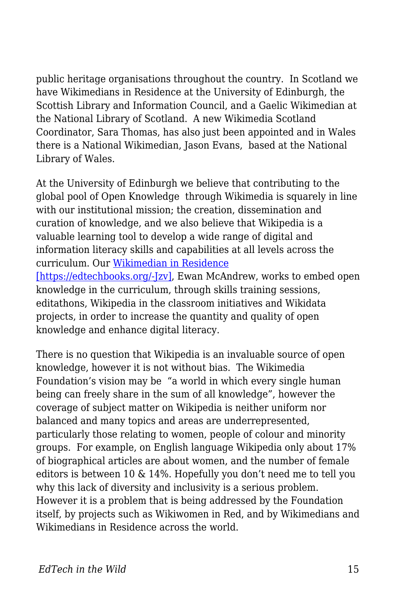public heritage organisations throughout the country. In Scotland we have Wikimedians in Residence at the University of Edinburgh, the Scottish Library and Information Council, and a Gaelic Wikimedian at the National Library of Scotland. A new Wikimedia Scotland Coordinator, Sara Thomas, has also just been appointed and in Wales there is a National Wikimedian, Jason Evans, based at the National Library of Wales.

At the University of Edinburgh we believe that contributing to the global pool of Open Knowledge through Wikimedia is squarely in line with our institutional mission; the creation, dissemination and curation of knowledge, and we also believe that Wikipedia is a valuable learning tool to develop a wide range of digital and information literacy skills and capabilities at all levels across the curriculum. Our [Wikimedian in Residence](http://thinking.is.ed.ac.uk/wir/) [\[https://edtechbooks.org/-Jzv\],](http://thinking.is.ed.ac.uk/wir/) Ewan McAndrew, works to embed open knowledge in the curriculum, through skills training sessions, editathons, Wikipedia in the classroom initiatives and Wikidata projects, in order to increase the quantity and quality of open knowledge and enhance digital literacy.

There is no question that Wikipedia is an invaluable source of open knowledge, however it is not without bias. The Wikimedia Foundation's vision may be "a world in which every single human being can freely share in the sum of all knowledge", however the coverage of subject matter on Wikipedia is neither uniform nor balanced and many topics and areas are underrepresented, particularly those relating to women, people of colour and minority groups. For example, on English language Wikipedia only about 17% of biographical articles are about women, and the number of female editors is between 10 & 14%. Hopefully you don't need me to tell you why this lack of diversity and inclusivity is a serious problem. However it is a problem that is being addressed by the Foundation itself, by projects such as Wikiwomen in Red, and by Wikimedians and Wikimedians in Residence across the world.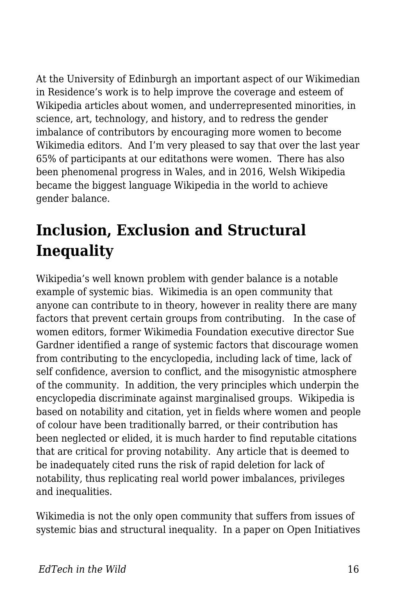At the University of Edinburgh an important aspect of our Wikimedian in Residence's work is to help improve the coverage and esteem of Wikipedia articles about women, and underrepresented minorities, in science, art, technology, and history, and to redress the gender imbalance of contributors by encouraging more women to become Wikimedia editors. And I'm very pleased to say that over the last year 65% of participants at our editathons were women. There has also been phenomenal progress in Wales, and in 2016, Welsh Wikipedia became the biggest language Wikipedia in the world to achieve gender balance.

# **Inclusion, Exclusion and Structural Inequality**

Wikipedia's well known problem with gender balance is a notable example of systemic bias. Wikimedia is an open community that anyone can contribute to in theory, however in reality there are many factors that prevent certain groups from contributing. In the case of women editors, former Wikimedia Foundation executive director Sue Gardner identified a range of systemic factors that discourage women from contributing to the encyclopedia, including lack of time, lack of self confidence, aversion to conflict, and the misogynistic atmosphere of the community. In addition, the very principles which underpin the encyclopedia discriminate against marginalised groups. Wikipedia is based on notability and citation, yet in fields where women and people of colour have been traditionally barred, or their contribution has been neglected or elided, it is much harder to find reputable citations that are critical for proving notability. Any article that is deemed to be inadequately cited runs the risk of rapid deletion for lack of notability, thus replicating real world power imbalances, privileges and inequalities.

Wikimedia is not the only open community that suffers from issues of systemic bias and structural inequality. In a paper on Open Initiatives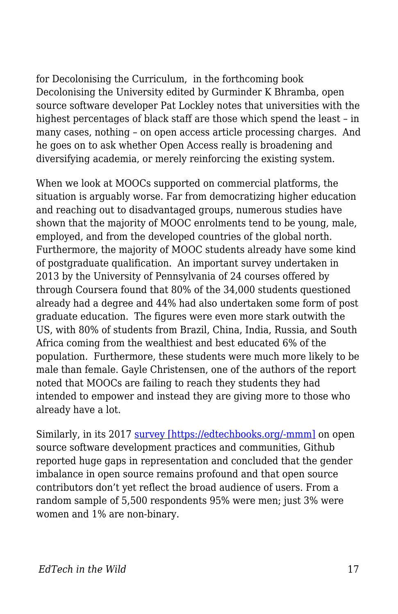for Decolonising the Curriculum, in the forthcoming book Decolonising the University edited by Gurminder K Bhramba, open source software developer Pat Lockley notes that universities with the highest percentages of black staff are those which spend the least – in many cases, nothing – on open access article processing charges. And he goes on to ask whether Open Access really is broadening and diversifying academia, or merely reinforcing the existing system.

When we look at MOOCs supported on commercial platforms, the situation is arguably worse. Far from democratizing higher education and reaching out to disadvantaged groups, numerous studies have shown that the majority of MOOC enrolments tend to be young, male, employed, and from the developed countries of the global north. Furthermore, the majority of MOOC students already have some kind of postgraduate qualification. An important survey undertaken in 2013 by the University of Pennsylvania of 24 courses offered by through Coursera found that 80% of the 34,000 students questioned already had a degree and 44% had also undertaken some form of post graduate education. The figures were even more stark outwith the US, with 80% of students from Brazil, China, India, Russia, and South Africa coming from the wealthiest and best educated 6% of the population. Furthermore, these students were much more likely to be male than female. Gayle Christensen, one of the authors of the report noted that MOOCs are failing to reach they students they had intended to empower and instead they are giving more to those who already have a lot.

Similarly, in its 2017 [survey \[https://edtechbooks.org/-mmm\]](http://opensourcesurvey.org/2017/) on open source software development practices and communities, Github reported huge gaps in representation and concluded that the gender imbalance in open source remains profound and that open source contributors don't yet reflect the broad audience of users. From a random sample of 5,500 respondents 95% were men; just 3% were women and 1% are non-binary.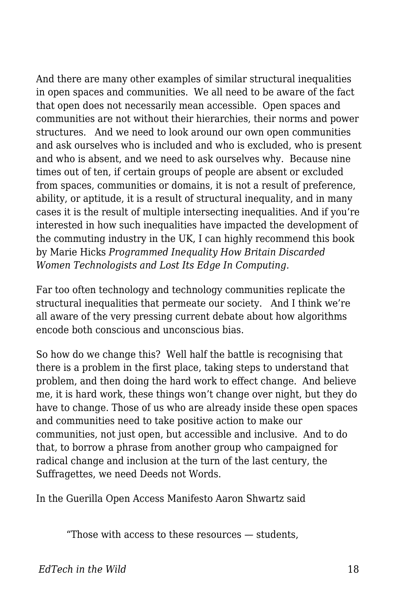And there are many other examples of similar structural inequalities in open spaces and communities. We all need to be aware of the fact that open does not necessarily mean accessible. Open spaces and communities are not without their hierarchies, their norms and power structures. And we need to look around our own open communities and ask ourselves who is included and who is excluded, who is present and who is absent, and we need to ask ourselves why. Because nine times out of ten, if certain groups of people are absent or excluded from spaces, communities or domains, it is not a result of preference, ability, or aptitude, it is a result of structural inequality, and in many cases it is the result of multiple intersecting inequalities. And if you're interested in how such inequalities have impacted the development of the commuting industry in the UK, I can highly recommend this book by Marie Hicks *Programmed Inequality How Britain Discarded Women Technologists and Lost Its Edge In Computing.*

Far too often technology and technology communities replicate the structural inequalities that permeate our society. And I think we're all aware of the very pressing current debate about how algorithms encode both conscious and unconscious bias.

So how do we change this? Well half the battle is recognising that there is a problem in the first place, taking steps to understand that problem, and then doing the hard work to effect change. And believe me, it is hard work, these things won't change over night, but they do have to change. Those of us who are already inside these open spaces and communities need to take positive action to make our communities, not just open, but accessible and inclusive. And to do that, to borrow a phrase from another group who campaigned for radical change and inclusion at the turn of the last century, the Suffragettes, we need Deeds not Words.

In the Guerilla Open Access Manifesto Aaron Shwartz said

"Those with access to these resources — students,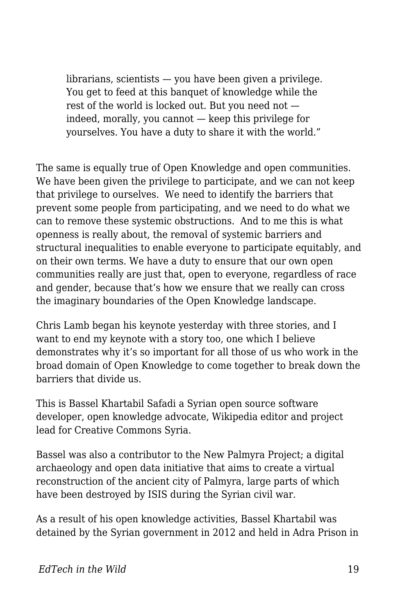librarians, scientists — you have been given a privilege. You get to feed at this banquet of knowledge while the rest of the world is locked out. But you need not indeed, morally, you cannot — keep this privilege for yourselves. You have a duty to share it with the world."

The same is equally true of Open Knowledge and open communities. We have been given the privilege to participate, and we can not keep that privilege to ourselves. We need to identify the barriers that prevent some people from participating, and we need to do what we can to remove these systemic obstructions. And to me this is what openness is really about, the removal of systemic barriers and structural inequalities to enable everyone to participate equitably, and on their own terms. We have a duty to ensure that our own open communities really are just that, open to everyone, regardless of race and gender, because that's how we ensure that we really can cross the imaginary boundaries of the Open Knowledge landscape.

Chris Lamb began his keynote yesterday with three stories, and I want to end my keynote with a story too, one which I believe demonstrates why it's so important for all those of us who work in the broad domain of Open Knowledge to come together to break down the barriers that divide us.

This is Bassel Khartabil Safadi a Syrian open source software developer, open knowledge advocate, Wikipedia editor and project lead for Creative Commons Syria.

Bassel was also a contributor to the New Palmyra Project; a digital archaeology and open data initiative that aims to create a virtual reconstruction of the ancient city of Palmyra, large parts of which have been destroyed by ISIS during the Syrian civil war.

As a result of his open knowledge activities, Bassel Khartabil was detained by the Syrian government in 2012 and held in Adra Prison in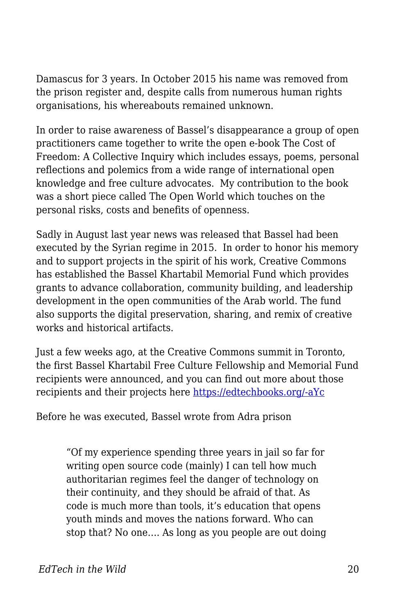Damascus for 3 years. In October 2015 his name was removed from the prison register and, despite calls from numerous human rights organisations, his whereabouts remained unknown.

In order to raise awareness of Bassel's disappearance a group of open practitioners came together to write the open e-book The Cost of Freedom: A Collective Inquiry which includes essays, poems, personal reflections and polemics from a wide range of international open knowledge and free culture advocates. My contribution to the book was a short piece called The Open World which touches on the personal risks, costs and benefits of openness.

Sadly in August last year news was released that Bassel had been executed by the Syrian regime in 2015. In order to honor his memory and to support projects in the spirit of his work, Creative Commons has established the Bassel Khartabil Memorial Fund which provides grants to advance collaboration, community building, and leadership development in the open communities of the Arab world. The fund also supports the digital preservation, sharing, and remix of creative works and historical artifacts.

Just a few weeks ago, at the Creative Commons summit in Toronto, the first Bassel Khartabil Free Culture Fellowship and Memorial Fund recipients were announced, and you can find out more about those recipients and their projects here [https://edtechbooks.org/-aYc](https://creativecommons.org/2018/04/15/fellowship-memorial-fund/)

Before he was executed, Bassel wrote from Adra prison

"Of my experience spending three years in jail so far for writing open source code (mainly) I can tell how much authoritarian regimes feel the danger of technology on their continuity, and they should be afraid of that. As code is much more than tools, it's education that opens youth minds and moves the nations forward. Who can stop that? No one…. As long as you people are out doing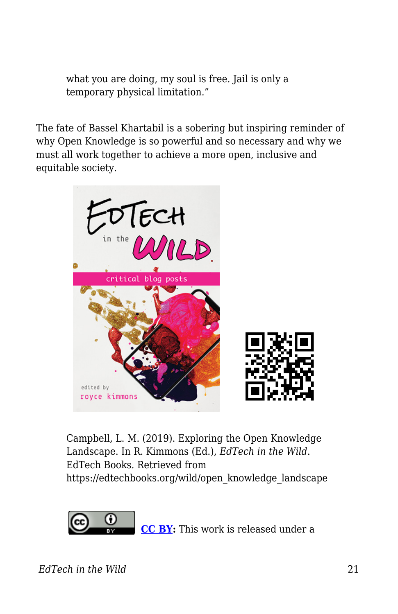what you are doing, my soul is free. Jail is only a temporary physical limitation."

The fate of Bassel Khartabil is a sobering but inspiring reminder of why Open Knowledge is so powerful and so necessary and why we must all work together to achieve a more open, inclusive and equitable society.



Campbell, L. M. (2019). Exploring the Open Knowledge Landscape. In R. Kimmons (Ed.), *EdTech in the Wild*. EdTech Books. Retrieved from https://edtechbooks.org/wild/open\_knowledge\_landscape



**[CC BY:](https://creativecommons.org/licenses/by/4.0)** This work is released under a